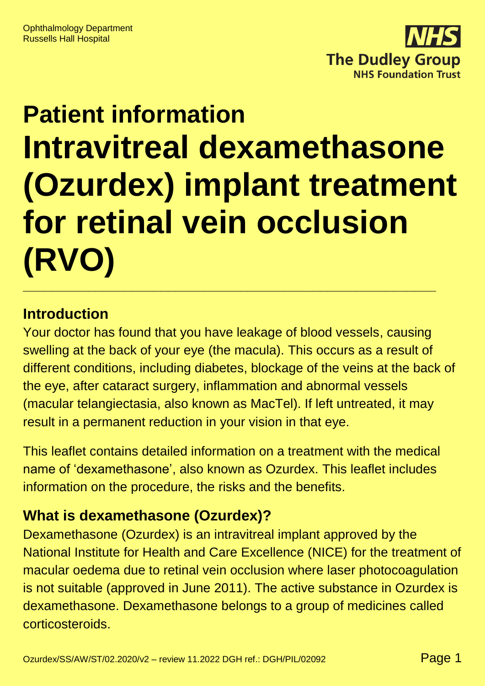

# **Patient information Intravitreal dexamethasone (Ozurdex) implant treatment for retinal vein occlusion (RVO) \_\_\_\_\_\_\_\_\_\_\_\_\_\_\_\_\_\_\_\_\_\_\_\_\_\_\_\_\_\_\_\_\_\_\_\_\_\_\_\_\_\_\_\_\_\_\_\_\_\_\_\_\_\_\_\_\_**

#### **Introduction**

Your doctor has found that you have leakage of blood vessels, causing swelling at the back of your eye (the macula). This occurs as a result of different conditions, including diabetes, blockage of the veins at the back of the eye, after cataract surgery, inflammation and abnormal vessels (macular telangiectasia, also known as MacTel). If left untreated, it may result in a permanent reduction in your vision in that eye.

This leaflet contains detailed information on a treatment with the medical name of 'dexamethasone', also known as Ozurdex. This leaflet includes information on the procedure, the risks and the benefits.

# **What is dexamethasone (Ozurdex)?**

Dexamethasone (Ozurdex) is an intravitreal implant approved by the National Institute for Health and Care Excellence (NICE) for the treatment of macular oedema due to retinal vein occlusion where laser photocoagulation is not suitable (approved in June 2011). The active substance in Ozurdex is dexamethasone. Dexamethasone belongs to a group of medicines called corticosteroids.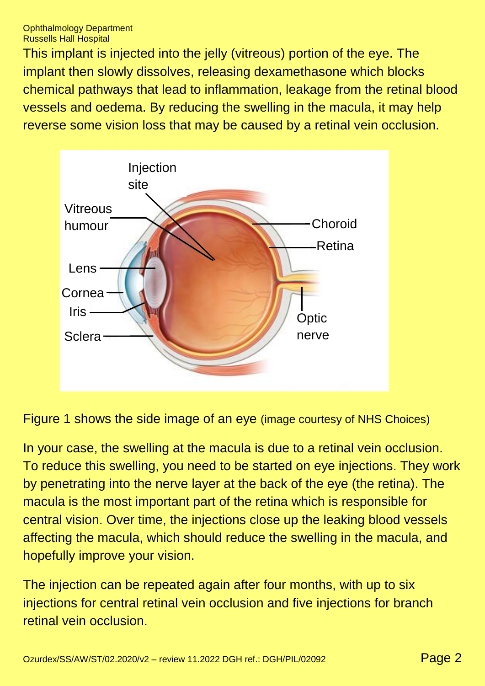This implant is injected into the jelly (vitreous) portion of the eye. The implant then slowly dissolves, releasing dexamethasone which blocks chemical pathways that lead to inflammation, leakage from the retinal blood vessels and oedema. By reducing the swelling in the macula, it may help reverse some vision loss that may be caused by a retinal vein occlusion.



Figure 1 shows the side image of an eye (image courtesy of NHS Choices)

In your case, the swelling at the macula is due to a retinal vein occlusion. To reduce this swelling, you need to be started on eye injections. They work by penetrating into the nerve layer at the back of the eye (the retina). The macula is the most important part of the retina which is responsible for central vision. Over time, the injections close up the leaking blood vessels affecting the macula, which should reduce the swelling in the macula, and hopefully improve your vision.

The injection can be repeated again after four months, with up to six injections for central retinal vein occlusion and five injections for branch retinal vein occlusion.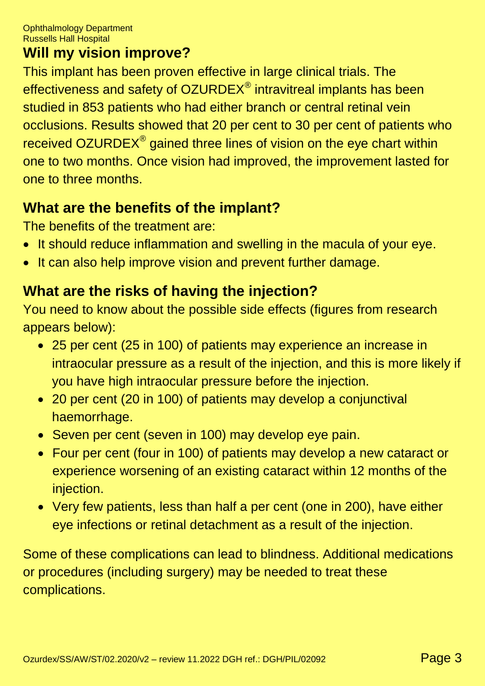#### **Will my vision improve?**

This implant has been proven effective in large clinical trials. The effectiveness and safety of OZURDEX® intravitreal implants has been studied in 853 patients who had either branch or central retinal vein occlusions. Results showed that 20 per cent to 30 per cent of patients who received OZURDEX<sup>®</sup> gained three lines of vision on the eye chart within one to two months. Once vision had improved, the improvement lasted for one to three months.

# **What are the benefits of the implant?**

The benefits of the treatment are:

- It should reduce inflammation and swelling in the macula of your eye.
- It can also help improve vision and prevent further damage.

# **What are the risks of having the injection?**

You need to know about the possible side effects (figures from research appears below):

- 25 per cent (25 in 100) of patients may experience an increase in intraocular pressure as a result of the injection, and this is more likely if you have high intraocular pressure before the injection.
- 20 per cent (20 in 100) of patients may develop a conjunctival haemorrhage.
- Seven per cent (seven in 100) may develop eye pain.
- Four per cent (four in 100) of patients may develop a new cataract or experience worsening of an existing cataract within 12 months of the injection.
- Very few patients, less than half a per cent (one in 200), have either eye infections or retinal detachment as a result of the injection.

Some of these complications can lead to blindness. Additional medications or procedures (including surgery) may be needed to treat these complications.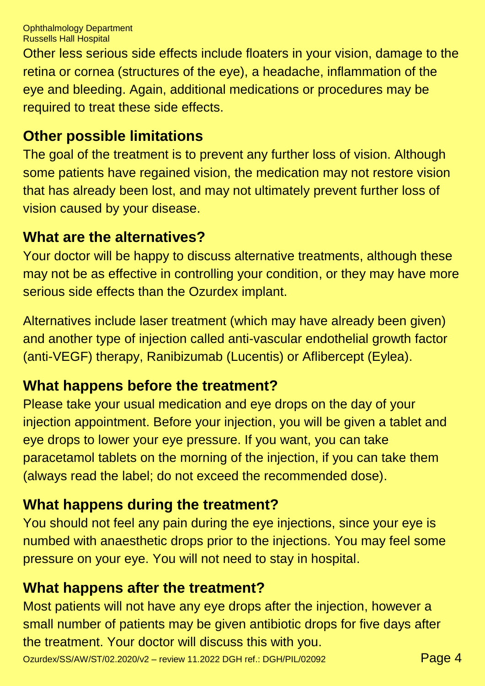Ophthalmology Department Russells Hall Hospital

Other less serious side effects include floaters in your vision, damage to the retina or cornea (structures of the eye), a headache, inflammation of the eye and bleeding. Again, additional medications or procedures may be required to treat these side effects.

#### **Other possible limitations**

The goal of the treatment is to prevent any further loss of vision. Although some patients have regained vision, the medication may not restore vision that has already been lost, and may not ultimately prevent further loss of vision caused by your disease.

#### **What are the alternatives?**

Your doctor will be happy to discuss alternative treatments, although these may not be as effective in controlling your condition, or they may have more serious side effects than the Ozurdex implant.

Alternatives include laser treatment (which may have already been given) and another type of injection called anti-vascular endothelial growth factor (anti-VEGF) therapy, Ranibizumab (Lucentis) or Aflibercept (Eylea).

# **What happens before the treatment?**

Please take your usual medication and eye drops on the day of your injection appointment. Before your injection, you will be given a tablet and eye drops to lower your eye pressure. If you want, you can take paracetamol tablets on the morning of the injection, if you can take them (always read the label; do not exceed the recommended dose).

# **What happens during the treatment?**

You should not feel any pain during the eye injections, since your eye is numbed with anaesthetic drops prior to the injections. You may feel some pressure on your eye. You will not need to stay in hospital.

#### **What happens after the treatment?**

Most patients will not have any eye drops after the injection, however a small number of patients may be given antibiotic drops for five days after the treatment. Your doctor will discuss this with you.

Ozurdex/SS/AW/ST/02.2020/v2 – review 11.2022 DGH ref.: DGH/PIL/02092 Page 4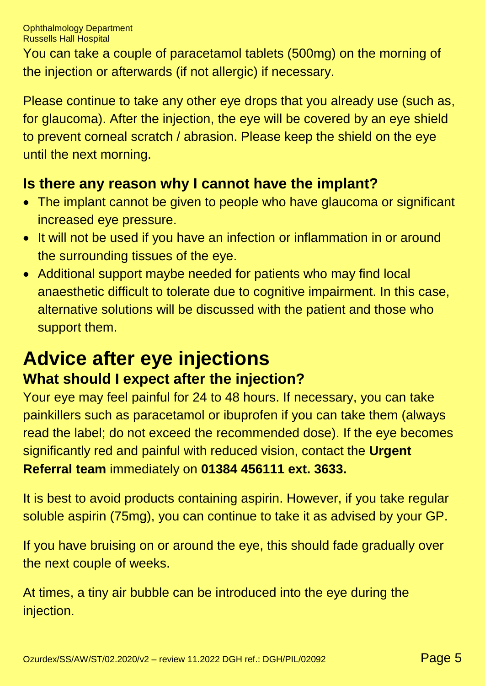You can take a couple of paracetamol tablets (500mg) on the morning of the injection or afterwards (if not allergic) if necessary.

Please continue to take any other eye drops that you already use (such as, for glaucoma). After the injection, the eye will be covered by an eye shield to prevent corneal scratch / abrasion. Please keep the shield on the eye until the next morning.

# **Is there any reason why I cannot have the implant?**

- The implant cannot be given to people who have glaucoma or significant increased eye pressure.
- It will not be used if you have an infection or inflammation in or around the surrounding tissues of the eye.
- Additional support maybe needed for patients who may find local anaesthetic difficult to tolerate due to cognitive impairment. In this case, alternative solutions will be discussed with the patient and those who support them.

# **Advice after eye injections What should I expect after the injection?**

Your eye may feel painful for 24 to 48 hours. If necessary, you can take painkillers such as paracetamol or ibuprofen if you can take them (always read the label; do not exceed the recommended dose). If the eye becomes significantly red and painful with reduced vision, contact the **Urgent Referral team** immediately on **01384 456111 ext. 3633.**

It is best to avoid products containing aspirin. However, if you take regular soluble aspirin (75mg), you can continue to take it as advised by your GP.

If you have bruising on or around the eye, this should fade gradually over the next couple of weeks.

At times, a tiny air bubble can be introduced into the eye during the injection.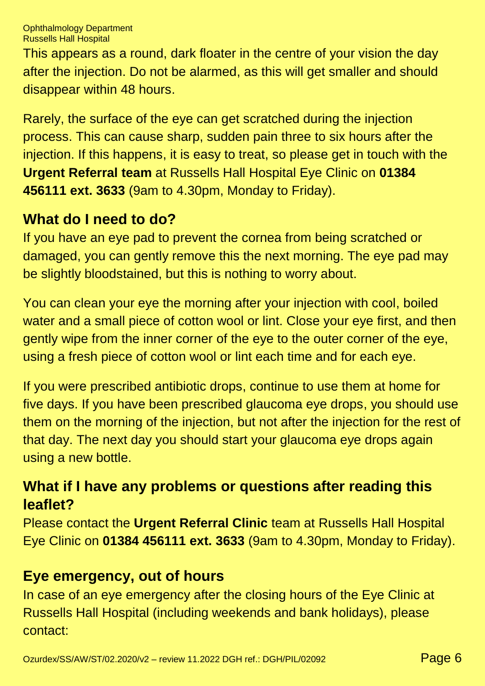Ophthalmology Department Russells Hall Hospital

This appears as a round, dark floater in the centre of your vision the day after the injection. Do not be alarmed, as this will get smaller and should disappear within 48 hours.

Rarely, the surface of the eye can get scratched during the injection process. This can cause sharp, sudden pain three to six hours after the injection. If this happens, it is easy to treat, so please get in touch with the **Urgent Referral team** at Russells Hall Hospital Eye Clinic on **01384 456111 ext. 3633** (9am to 4.30pm, Monday to Friday).

#### **What do I need to do?**

If you have an eye pad to prevent the cornea from being scratched or damaged, you can gently remove this the next morning. The eye pad may be slightly bloodstained, but this is nothing to worry about.

You can clean your eye the morning after your injection with cool, boiled water and a small piece of cotton wool or lint. Close your eye first, and then gently wipe from the inner corner of the eye to the outer corner of the eye, using a fresh piece of cotton wool or lint each time and for each eye.

If you were prescribed antibiotic drops, continue to use them at home for five days. If you have been prescribed glaucoma eye drops, you should use them on the morning of the injection, but not after the injection for the rest of that day. The next day you should start your glaucoma eye drops again using a new bottle.

# **What if I have any problems or questions after reading this leaflet?**

Please contact the **Urgent Referral Clinic** team at Russells Hall Hospital Eye Clinic on **01384 456111 ext. 3633** (9am to 4.30pm, Monday to Friday).

# **Eye emergency, out of hours**

In case of an eye emergency after the closing hours of the Eye Clinic at Russells Hall Hospital (including weekends and bank holidays), please contact: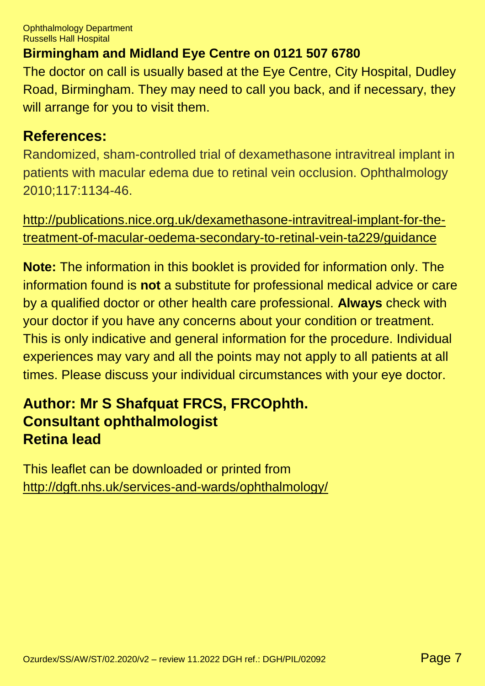Ophthalmology Department Russells Hall Hospital

#### **Birmingham and Midland Eye Centre on 0121 507 6780**

The doctor on call is usually based at the Eye Centre, City Hospital, Dudley Road, Birmingham. They may need to call you back, and if necessary, they will arrange for you to visit them.

#### **References:**

Randomized, sham-controlled trial of dexamethasone intravitreal implant in patients with macular edema due to retinal vein occlusion. Ophthalmology 2010;117:1134-46.

[http://publications.nice.org.uk/dexamethasone-intravitreal-implant-for-the](http://publications.nice.org.uk/dexamethasone-intravitreal-implant-for-the-treatment-of-macular-oedema-secondary-to-retinal-vein-ta229/guidance)[treatment-of-macular-oedema-secondary-to-retinal-vein-ta229/guidance](http://publications.nice.org.uk/dexamethasone-intravitreal-implant-for-the-treatment-of-macular-oedema-secondary-to-retinal-vein-ta229/guidance)

**Note:** The information in this booklet is provided for information only. The information found is **not** a substitute for professional medical advice or care by a qualified doctor or other health care professional. **Always** check with your doctor if you have any concerns about your condition or treatment. This is only indicative and general information for the procedure. Individual experiences may vary and all the points may not apply to all patients at all times. Please discuss your individual circumstances with your eye doctor.

# **Author: Mr S Shafquat FRCS, FRCOphth. Consultant ophthalmologist Retina lead**

This leaflet can be downloaded or printed from <http://dgft.nhs.uk/services-and-wards/ophthalmology/>